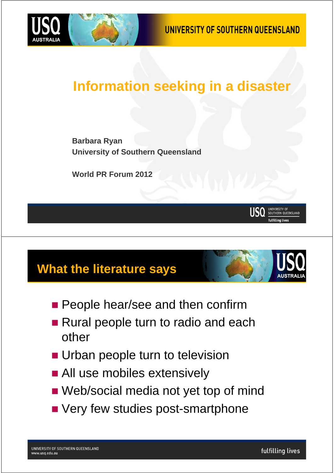



### **Information seeking in a disaster**

**Barbara Ryan University of Southern Queensland**

**World PR Forum 2012**

#### **What the literature says**

- **People hear/see and then confirm**
- Rural people turn to radio and each other
- **Urban people turn to television**
- **All use mobiles extensively**
- Web/social media not yet top of mind
- **No Very few studies post-smartphone**

UNIVERSITY OF<br>SOUTHERN QUEENSLAND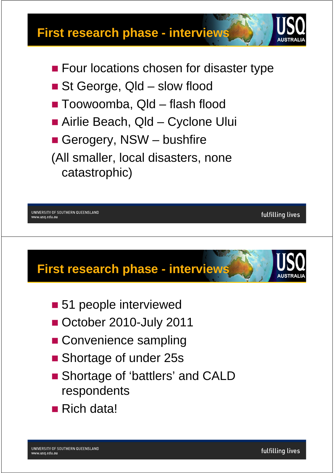

- St George, Qld slow flood
- Toowoomba, Qld flash flood
- Airlie Beach, Qld Cyclone Ului
- Gerogery, NSW bushfire

(All smaller, local disasters, none catastrophic)

UNIVERSITY OF SOUTHERN QUEENSLAND www.usg.edu.au



- **51 people interviewed**
- October 2010-July 2011
- **Convenience sampling**
- Shortage of under 25s
- Shortage of 'battlers' and CALD respondents
- Rich data!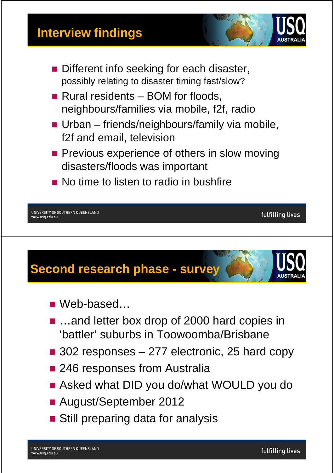#### **Interview findings**



- Different info seeking for each disaster, possibly relating to disaster timing fast/slow?
- Rural residents BOM for floods, neighbours/families via mobile, f2f, radio
- **Urban** friends/neighbours/family via mobile, f2f and email, television
- **Previous experience of others in slow moving** disasters/floods was important
- No time to listen to radio in bushfire

UNIVERSITY OF SOUTHERN QUEENSLAND www.usg.edu.au

## **Second research phase - survey**

- Web-based
- …and letter box drop of 2000 hard copies in 'battler' suburbs in Toowoomba/Brisbane
- 302 responses 277 electronic, 25 hard copy
- 246 responses from Australia
- Asked what DID you do/what WOULD you do
- August/September 2012
- **Still preparing data for analysis**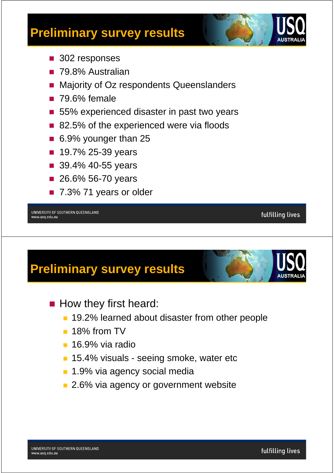

- 302 responses
- 79.8% Australian
- Majority of Oz respondents Queenslanders
- **79.6% female**
- 55% experienced disaster in past two years
- 82.5% of the experienced were via floods
- 6.9% younger than 25
- 19.7% 25-39 years
- 39.4% 40-55 years
- 26.6% 56-70 years
- 7.3% 71 years or older

UNIVERSITY OF SOUTHERN QUEENSLAND www.usg.edu.au

### **Preliminary survey results**

- How they first heard:
	- 19.2% learned about disaster from other people
	- <sup>18%</sup> from TV
	- **16.9% via radio**
	- **15.4% visuals seeing smoke, water etc**
	- **1.9% via agency social media**
	- **2.6% via agency or government website**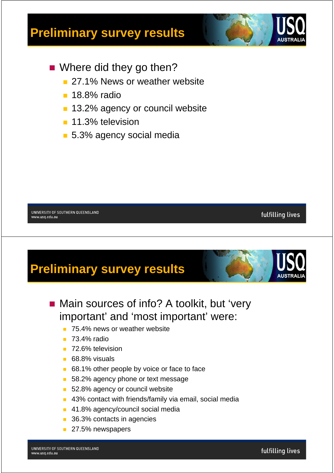

- **Notainally Where did they go then?** 
	- 27.1% News or weather website
	- **18.8% radio**
	- **13.2% agency or council website**
	- **11.3% television**
	- 5.3% agency social media

UNIVERSITY OF SOUTHERN QUEENSLAND www.usq.edu.au

## **Preliminary survey results**

- Main sources of info? A toolkit, but 'very important' and 'most important' were:
	- **75.4% news or weather website**
	- **73.4%** radio
	- **72.6% television**
	- 68.8% visuals
	- 68.1% other people by voice or face to face
	- 58.2% agency phone or text message
	- 52.8% agency or council website
	- 43% contact with friends/family via email, social media
	- **41.8% agency/council social media**
	- 36.3% contacts in agencies
	- 27.5% newspapers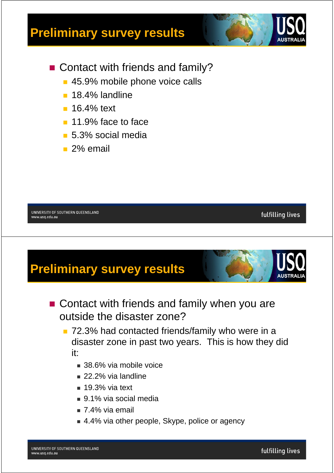

fulfilling lives

- Contact with friends and family?
	- **45.9% mobile phone voice calls**
	- **18.4% landline**
	- **16.4% text**
	- **11.9% face to face**
	- 5.3% social media
	- 2% email

UNIVERSITY OF SOUTHERN QUEENSLAND www.usq.edu.au

## **Preliminary survey results**

- Contact with friends and family when you are outside the disaster zone?
	- 72.3% had contacted friends/family who were in a disaster zone in past two years. This is how they did it:
		- 38.6% via mobile voice
		- 22.2% via landline
		- $\blacksquare$  19.3% via text
		- 9.1% via social media
		- $\sqrt{74\%}$  via email
		- 4.4% via other people, Skype, police or agency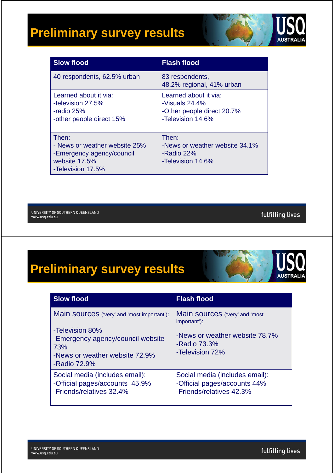

| <b>Slow flood</b>                                                                                         | <b>Flash flood</b>                                                                            |
|-----------------------------------------------------------------------------------------------------------|-----------------------------------------------------------------------------------------------|
| 40 respondents, 62.5% urban                                                                               | 83 respondents,<br>48.2% regional, 41% urban                                                  |
| Learned about it via:<br>-television 27.5%<br>-radio 25%<br>-other people direct 15%                      | Learned about it via:<br>-Visuals $24.4\%$<br>-Other people direct 20.7%<br>-Television 14.6% |
| Then:<br>- News or weather website 25%<br>-Emergency agency/council<br>website 17.5%<br>-Television 17.5% | Then:<br>-News or weather website 34.1%<br>-Radio 22%<br>-Television 14.6%                    |

UNIVERSITY OF SOUTHERN QUEENSLAND www.usq.edu.au

fulfilling lives

### **Preliminary survey results AUSTRALIA**

| <b>Slow flood</b>                                                                                             | <b>Flash flood</b>                                                                         |
|---------------------------------------------------------------------------------------------------------------|--------------------------------------------------------------------------------------------|
| Main sources ('very' and 'most important'):                                                                   | Main sources ('very' and 'most<br>important'):                                             |
| -Television 80%<br>-Emergency agency/council website<br>73%<br>-News or weather website 72.9%<br>-Radio 72.9% | -News or weather website 78.7%<br>-Radio 73.3%<br>-Television 72%                          |
| Social media (includes email):<br>-Official pages/accounts 45.9%<br>-Friends/relatives 32.4%                  | Social media (includes email):<br>-Official pages/accounts 44%<br>-Friends/relatives 42.3% |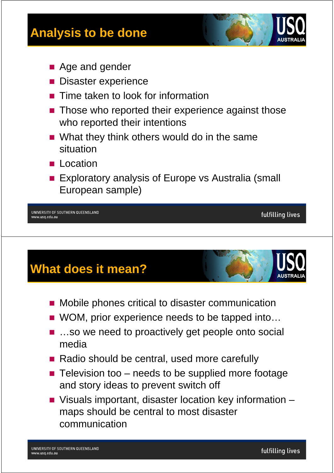

- Age and gender
- **Disaster experience**
- Time taken to look for information
- Those who reported their experience against those who reported their intentions
- What they think others would do in the same situation
- **L** Location
- **Exploratory analysis of Europe vs Australia (small** European sample)

UNIVERSITY OF SOUTHERN QUEENSLAND www.usg.edu.au

#### **What does it mean?**

- **Mobile phones critical to disaster communication**
- WOM, prior experience needs to be tapped into...
- …so we need to proactively get people onto social media
- Radio should be central, used more carefully
- $\blacksquare$  Television too needs to be supplied more footage and story ideas to prevent switch off
- Visuals important, disaster location key information maps should be central to most disaster communication